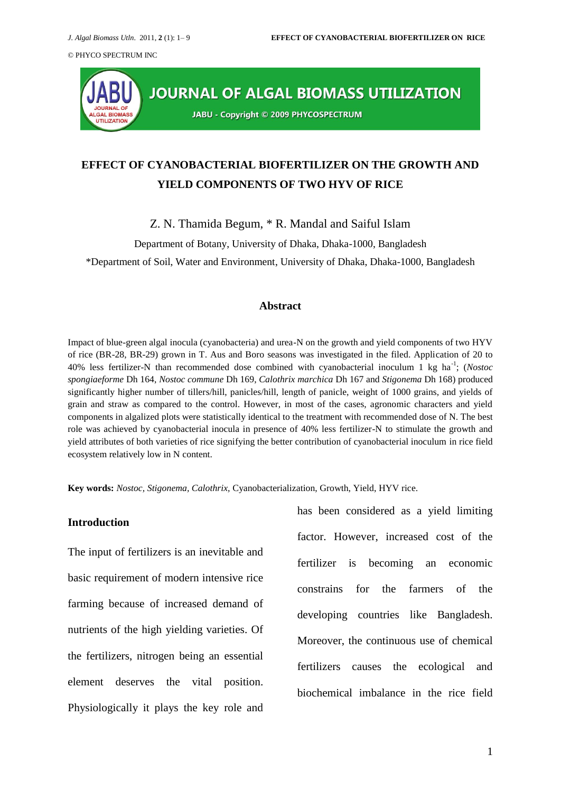

# **EFFECT OF CYANOBACTERIAL BIOFERTILIZER ON THE GROWTH AND YIELD COMPONENTS OF TWO HYV OF RICE**

Z. N. Thamida Begum, \* R. Mandal and Saiful Islam

Department of Botany, University of Dhaka, Dhaka-1000, Bangladesh

\*Department of Soil, Water and Environment, University of Dhaka, Dhaka-1000, Bangladesh

#### **Abstract**

Impact of blue-green algal inocula (cyanobacteria) and urea-N on the growth and yield components of two HYV of rice (BR-28, BR-29) grown in T. Aus and Boro seasons was investigated in the filed. Application of 20 to 40% less fertilizer-N than recommended dose combined with cyanobacterial inoculum 1 kg ha-1 ; (*Nostoc spongiaeforme* Dh 164, *Nostoc commune* Dh 169, *Calothrix marchica* Dh 167 and *Stigonema* Dh 168) produced significantly higher number of tillers/hill, panicles/hill, length of panicle, weight of 1000 grains, and yields of grain and straw as compared to the control. However, in most of the cases, agronomic characters and yield components in algalized plots were statistically identical to the treatment with recommended dose of N. The best role was achieved by cyanobacterial inocula in presence of 40% less fertilizer-N to stimulate the growth and yield attributes of both varieties of rice signifying the better contribution of cyanobacterial inoculum in rice field ecosystem relatively low in N content.

**Key words:** *Nostoc, Stigonema, Calothrix,* Cyanobacterialization, Growth, Yield, HYV rice.

### **Introduction**

The input of fertilizers is an inevitable and basic requirement of modern intensive rice farming because of increased demand of nutrients of the high yielding varieties. Of the fertilizers, nitrogen being an essential element deserves the vital position. Physiologically it plays the key role and

has been considered as a yield limiting factor. However, increased cost of the fertilizer is becoming an economic constrains for the farmers of the developing countries like Bangladesh. Moreover, the continuous use of chemical fertilizers causes the ecological and biochemical imbalance in the rice field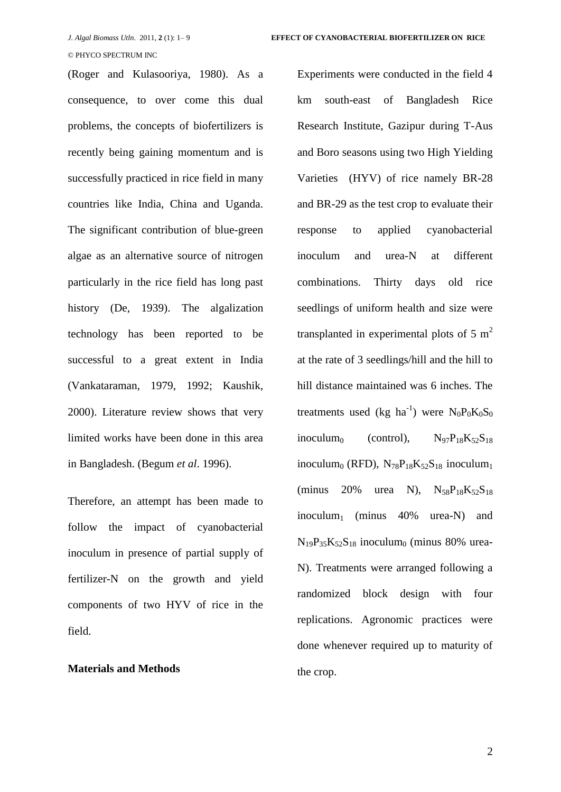(Roger and Kulasooriya, 1980). As a consequence, to over come this dual problems, the concepts of biofertilizers is recently being gaining momentum and is successfully practiced in rice field in many countries like India, China and Uganda. The significant contribution of blue-green algae as an alternative source of nitrogen particularly in the rice field has long past history (De, 1939). The algalization technology has been reported to be successful to a great extent in India (Vankataraman, 1979, 1992; Kaushik, 2000). Literature review shows that very limited works have been done in this area in Bangladesh. (Begum *et al*. 1996).

Therefore, an attempt has been made to follow the impact of cyanobacterial inoculum in presence of partial supply of fertilizer-N on the growth and yield components of two HYV of rice in the field.

#### **Materials and Methods**

Experiments were conducted in the field 4 km south-east of Bangladesh Rice Research Institute, Gazipur during T-Aus and Boro seasons using two High Yielding Varieties (HYV) of rice namely BR-28 and BR-29 as the test crop to evaluate their response to applied cyanobacterial inoculum and urea-N at different combinations. Thirty days old rice seedlings of uniform health and size were transplanted in experimental plots of 5  $m<sup>2</sup>$ at the rate of 3 seedlings/hill and the hill to hill distance maintained was 6 inches. The treatments used (kg ha<sup>-1</sup>) were  $N_0P_0K_0S_0$ inoculum $_0$  (control),  $N_{97}P_{18}K_{52}S_{18}$ inoculum $_0$  (RFD),  $N_{78}P_{18}K_{52}S_{18}$  inoculum $_1$ (minus 20% urea N),  $N_{58}P_{18}K_{52}S_{18}$ inoculum<sup>1</sup> (minus 40% urea-N) and  $N_{19}P_{35}K_{52}S_{18}$  inoculum<sub>0</sub> (minus 80% urea-N). Treatments were arranged following a randomized block design with four replications. Agronomic practices were done whenever required up to maturity of the crop.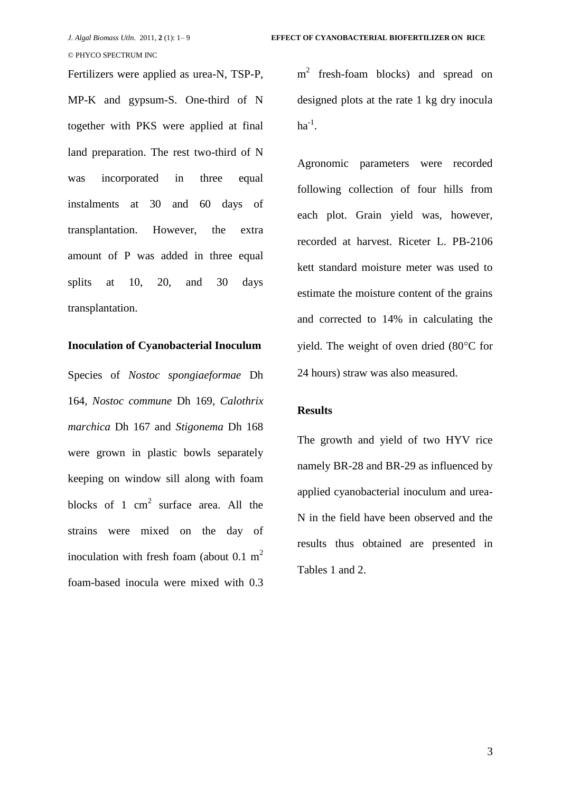Fertilizers were applied as urea-N, TSP-P, MP-K and gypsum-S. One-third of N together with PKS were applied at final land preparation. The rest two-third of N was incorporated in three equal instalments at 30 and 60 days of transplantation. However, the extra amount of P was added in three equal splits at 10, 20, and 30 days transplantation.

# **Inoculation of Cyanobacterial Inoculum**

Species of *Nostoc spongiaeformae* Dh 164, *Nostoc commune* Dh 169, *Calothrix marchica* Dh 167 and *Stigonema* Dh 168 were grown in plastic bowls separately keeping on window sill along with foam blocks of 1  $\text{cm}^2$  surface area. All the strains were mixed on the day of inoculation with fresh foam (about  $0.1 \text{ m}^2$ ) foam-based inocula were mixed with 0.3 m<sup>2</sup> fresh-foam blocks) and spread on designed plots at the rate 1 kg dry inocula  $ha^{-1}$ .

Agronomic parameters were recorded following collection of four hills from each plot. Grain yield was, however, recorded at harvest. Riceter L. PB-2106 kett standard moisture meter was used to estimate the moisture content of the grains and corrected to 14% in calculating the yield. The weight of oven dried  $(80^{\circ}C)$  for 24 hours) straw was also measured.

# **Results**

The growth and yield of two HYV rice namely BR-28 and BR-29 as influenced by applied cyanobacterial inoculum and urea-N in the field have been observed and the results thus obtained are presented in Tables 1 and 2.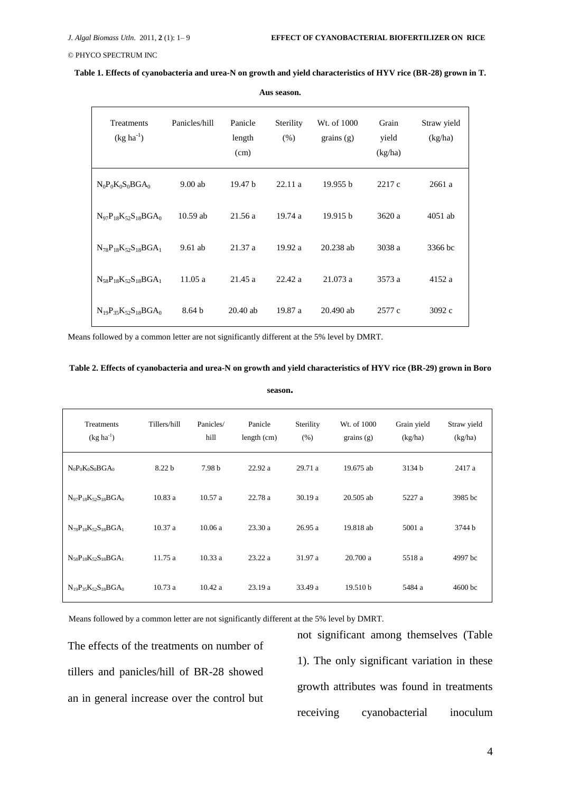| <b>Treatments</b><br>$(kg ha^{-1})$ | Panicles/hill     | Panicle<br>length<br>(cm) | Sterility<br>(% ) | Wt. of 1000<br>grains $(g)$ | Grain<br>yield<br>(kg/ha) | Straw yield<br>(kg/ha) |
|-------------------------------------|-------------------|---------------------------|-------------------|-----------------------------|---------------------------|------------------------|
| $N_0P_0K_0S_0BGA_0$                 | $9.00$ ab         | 19.47 <sub>b</sub>        | 22.11a            | 19.955 b                    | 2217 c                    | 2661a                  |
| $N_{97}P_{18}K_{52}S_{18}BGA_0$     | $10.59$ ab        | 21.56 a                   | 19.74a            | 19.915 b                    | 3620 a                    | $4051$ ab              |
| $N_{78}P_{18}K_{52}S_{18}BGA_1$     | $9.61$ ab         | 21.37a                    | 19.92a            | $20.238$ ab                 | 3038 a                    | 3366 bc                |
| $N_{58}P_{18}K_{52}S_{18}BGA_1$     | 11.05a            | 21.45a                    | 22.42 a           | 21.073 a                    | 3573 a                    | 4152 a                 |
| $N_{19}P_{35}K_{52}S_{18}BGA_0$     | 8.64 <sub>b</sub> | $20.40$ ab                | 19.87 a           | 20.490 ab                   | 2577 c                    | 3092 c                 |

**Table 1. Effects of cyanobacteria and urea-N on growth and yield characteristics of HYV rice (BR-28) grown in T.** 

**Aus season.**

Means followed by a common letter are not significantly different at the 5% level by DMRT.

#### **Table 2. Effects of cyanobacteria and urea-N on growth and yield characteristics of HYV rice (BR-29) grown in Boro**

**season.**

| Treatments<br>$(kg ha^{-1})$    | Tillers/hill | Panicles/<br>hill | Panicle<br>length (cm) | Sterility<br>(% ) | Wt. of 1000<br>grains $(g)$ | Grain yield<br>(kg/ha) | Straw yield<br>(kg/ha) |
|---------------------------------|--------------|-------------------|------------------------|-------------------|-----------------------------|------------------------|------------------------|
| $N_0P_0K_0S_0BGA_0$             | 8.22 b       | 7.98 b            | 22.92a                 | 29.71 a           | 19.675 ab                   | 3134 b                 | 2417 a                 |
| $N_{97}P_{18}K_{52}S_{18}BGA_0$ | 10.83a       | 10.57a            | 22.78 a                | 30.19a            | $20.505$ ab                 | 5227 a                 | 3985 bc                |
| $N_{78}P_{18}K_{52}S_{18}BGA_1$ | 10.37a       | 10.06a            | 23.30a                 | 26.95a            | 19.818 ab                   | 5001 a                 | 3744 b                 |
| $N_{58}P_{18}K_{52}S_{18}BGA_1$ | 11.75a       | 10.33a            | 23.22a                 | 31.97 a           | 20.700a                     | 5518 a                 | 4997 bc                |
| $N_{19}P_{35}K_{52}S_{18}BGA_0$ | 10.73a       | 10.42a            | 23.19 a                | 33.49 a           | 19.510 b                    | 5484 a                 | 4600 bc                |

Means followed by a common letter are not significantly different at the 5% level by DMRT.

The effects of the treatments on number of tillers and panicles/hill of BR-28 showed an in general increase over the control but

not significant among themselves (Table 1). The only significant variation in these growth attributes was found in treatments receiving cyanobacterial inoculum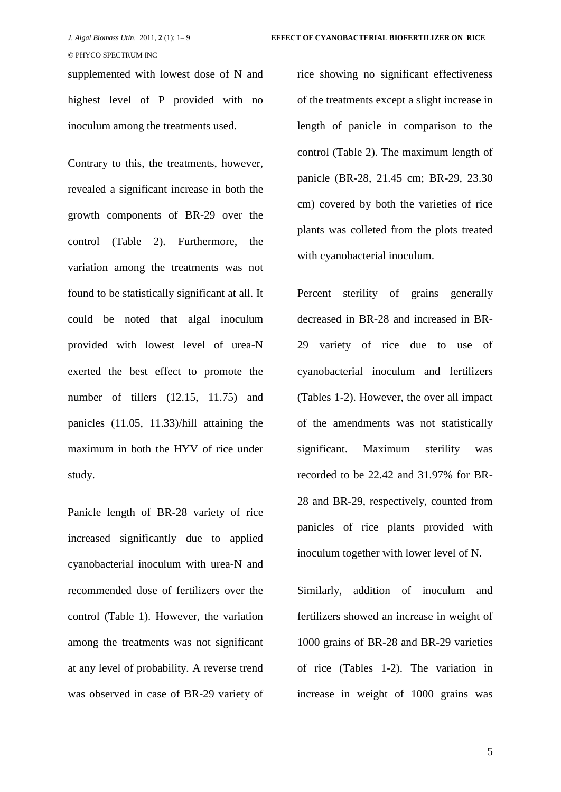supplemented with lowest dose of N and highest level of P provided with no inoculum among the treatments used.

Contrary to this, the treatments, however, revealed a significant increase in both the growth components of BR-29 over the control (Table 2). Furthermore, the variation among the treatments was not found to be statistically significant at all. It could be noted that algal inoculum provided with lowest level of urea-N exerted the best effect to promote the number of tillers (12.15, 11.75) and panicles (11.05, 11.33)/hill attaining the maximum in both the HYV of rice under study.

Panicle length of BR-28 variety of rice increased significantly due to applied cyanobacterial inoculum with urea-N and recommended dose of fertilizers over the control (Table 1). However, the variation among the treatments was not significant at any level of probability. A reverse trend was observed in case of BR-29 variety of rice showing no significant effectiveness of the treatments except a slight increase in length of panicle in comparison to the control (Table 2). The maximum length of panicle (BR-28, 21.45 cm; BR-29, 23.30 cm) covered by both the varieties of rice plants was colleted from the plots treated with cyanobacterial inoculum.

Percent sterility of grains generally decreased in BR-28 and increased in BR-29 variety of rice due to use of cyanobacterial inoculum and fertilizers (Tables 1-2). However, the over all impact of the amendments was not statistically significant. Maximum sterility was recorded to be 22.42 and 31.97% for BR-28 and BR-29, respectively, counted from panicles of rice plants provided with inoculum together with lower level of N.

Similarly, addition of inoculum and fertilizers showed an increase in weight of 1000 grains of BR-28 and BR-29 varieties of rice (Tables 1-2). The variation in increase in weight of 1000 grains was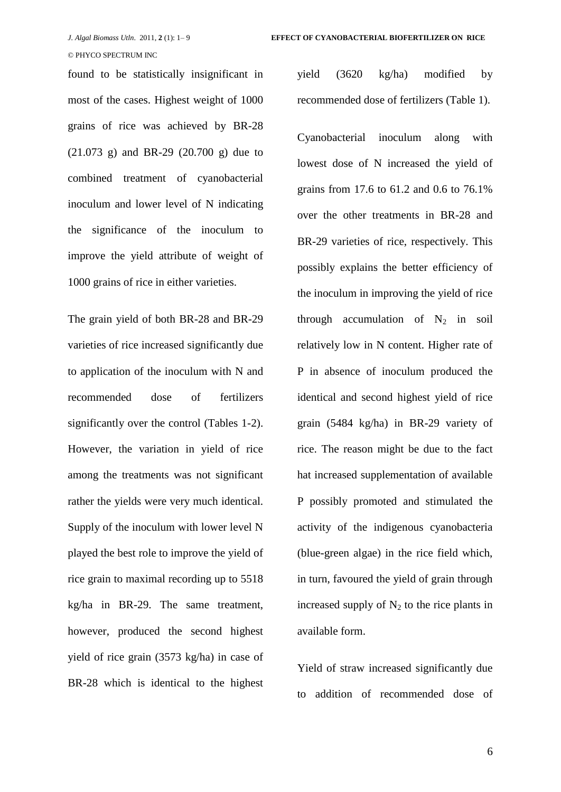found to be statistically insignificant in most of the cases. Highest weight of 1000 grains of rice was achieved by BR-28 (21.073 g) and BR-29 (20.700 g) due to combined treatment of cyanobacterial inoculum and lower level of N indicating the significance of the inoculum to improve the yield attribute of weight of 1000 grains of rice in either varieties.

The grain yield of both BR-28 and BR-29 varieties of rice increased significantly due to application of the inoculum with N and recommended dose of fertilizers significantly over the control (Tables 1-2). However, the variation in yield of rice among the treatments was not significant rather the yields were very much identical. Supply of the inoculum with lower level N played the best role to improve the yield of rice grain to maximal recording up to 5518 kg/ha in BR-29. The same treatment, however, produced the second highest yield of rice grain (3573 kg/ha) in case of BR-28 which is identical to the highest yield (3620 kg/ha) modified by recommended dose of fertilizers (Table 1).

Cyanobacterial inoculum along with lowest dose of N increased the yield of grains from 17.6 to 61.2 and 0.6 to 76.1% over the other treatments in BR-28 and BR-29 varieties of rice, respectively. This possibly explains the better efficiency of the inoculum in improving the yield of rice through accumulation of  $N_2$  in soil relatively low in N content. Higher rate of P in absence of inoculum produced the identical and second highest yield of rice grain (5484 kg/ha) in BR-29 variety of rice. The reason might be due to the fact hat increased supplementation of available P possibly promoted and stimulated the activity of the indigenous cyanobacteria (blue-green algae) in the rice field which, in turn, favoured the yield of grain through increased supply of  $N_2$  to the rice plants in available form.

Yield of straw increased significantly due to addition of recommended dose of

6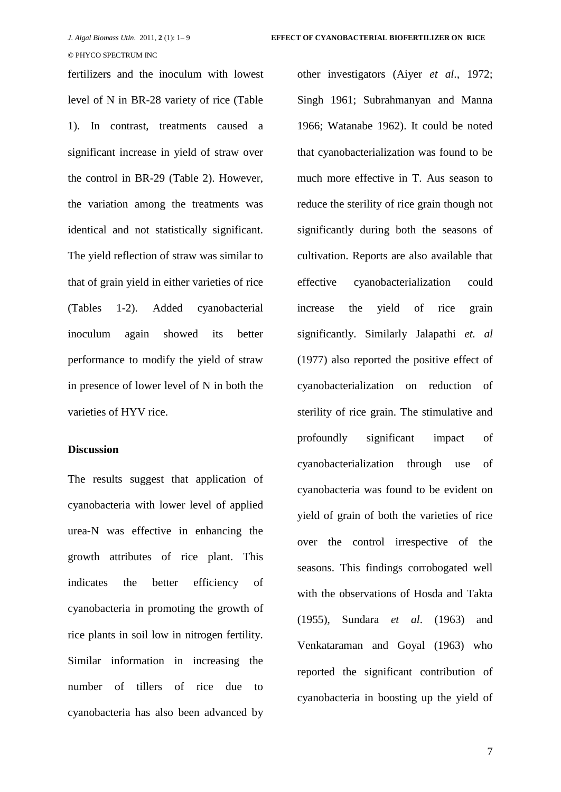fertilizers and the inoculum with lowest level of N in BR-28 variety of rice (Table 1). In contrast, treatments caused a significant increase in yield of straw over the control in BR-29 (Table 2). However, the variation among the treatments was identical and not statistically significant. The yield reflection of straw was similar to that of grain yield in either varieties of rice (Tables 1-2). Added cyanobacterial inoculum again showed its better performance to modify the yield of straw in presence of lower level of N in both the varieties of HYV rice.

# **Discussion**

The results suggest that application of cyanobacteria with lower level of applied urea-N was effective in enhancing the growth attributes of rice plant. This indicates the better efficiency of cyanobacteria in promoting the growth of rice plants in soil low in nitrogen fertility. Similar information in increasing the number of tillers of rice due to cyanobacteria has also been advanced by other investigators (Aiyer *et al*., 1972; Singh 1961; Subrahmanyan and Manna 1966; Watanabe 1962). It could be noted that cyanobacterialization was found to be much more effective in T. Aus season to reduce the sterility of rice grain though not significantly during both the seasons of cultivation. Reports are also available that effective cyanobacterialization could increase the yield of rice grain significantly. Similarly Jalapathi *et. al* (1977) also reported the positive effect of cyanobacterialization on reduction of sterility of rice grain. The stimulative and profoundly significant impact of cyanobacterialization through use of cyanobacteria was found to be evident on yield of grain of both the varieties of rice over the control irrespective of the seasons. This findings corrobogated well with the observations of Hosda and Takta (1955), Sundara *et al*. (1963) and Venkataraman and Goyal (1963) who reported the significant contribution of cyanobacteria in boosting up the yield of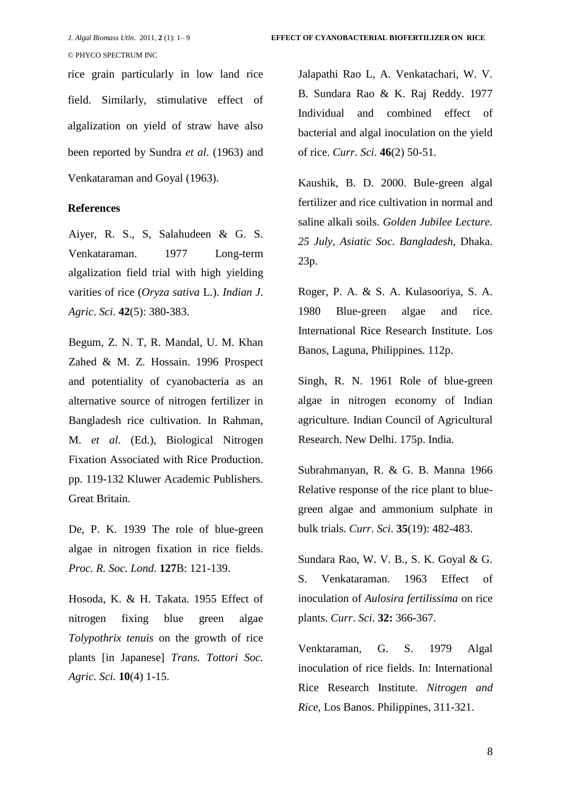rice grain particularly in low land rice field. Similarly, stimulative effect of algalization on yield of straw have also been reported by Sundra *et al*. (1963) and Venkataraman and Goyal (1963).

### **References**

Aiyer, R. S., S, Salahudeen & G. S. Venkataraman. 1977 Long-term algalization field trial with high yielding varities of rice (*Oryza sativa* L.). *Indian J*. *Agric*. *Sci*. **42**(5): 380-383.

Begum, Z. N. T, R. Mandal, U. M. Khan Zahed & M. Z. Hossain. 1996 Prospect and potentiality of cyanobacteria as an alternative source of nitrogen fertilizer in Bangladesh rice cultivation. In Rahman, M. *et al*. (Ed.), Biological Nitrogen Fixation Associated with Rice Production. pp. 119-132 Kluwer Academic Publishers. Great Britain.

De, P. K. 1939 The role of blue-green algae in nitrogen fixation in rice fields. *Proc. R. Soc. Lond*. **127**B: 121-139.

Hosoda, K. & H. Takata. 1955 Effect of nitrogen fixing blue green algae *Tolypothrix tenuis* on the growth of rice plants [in Japanese] *Trans. Tottori Soc. Agric. Sci.* **10**(4) 1-15.

Jalapathi Rao L, A. Venkatachari, W. V. B. Sundara Rao & K. Raj Reddy. 1977 Individual and combined effect of bacterial and algal inoculation on the yield of rice. *Curr*. *Sci*. **46**(2) 50-51.

Kaushik, B. D. 2000. Bule-green algal fertilizer and rice cultivation in normal and saline alkali soils. *Golden Jubilee Lecture. 25 July, Asiatic Soc. Bangladesh*, Dhaka. 23p.

Roger, P. A. & S. A. Kulasooriya, S. A. 1980 Blue-green algae and rice. International Rice Research Institute. Los Banos, Laguna, Philippines. 112p.

Singh, R. N. 1961 Role of blue-green algae in nitrogen economy of Indian agriculture. Indian Council of Agricultural Research. New Delhi. 175p. India.

Subrahmanyan, R. & G. B. Manna 1966 Relative response of the rice plant to bluegreen algae and ammonium sulphate in bulk trials. *Curr*. *Sci*. **35**(19): 482-483.

Sundara Rao, W. V. B., S. K. Goyal & G. S. Venkataraman. 1963 Effect of inoculation of *Aulosira fertilissima* on rice plants. *Curr*. *Sci*. **32:** 366-367.

Venktaraman, G. S. 1979 Algal inoculation of rice fields. In: International Rice Research Institute. *Nitrogen and Rice*, Los Banos. Philippines, 311-321.